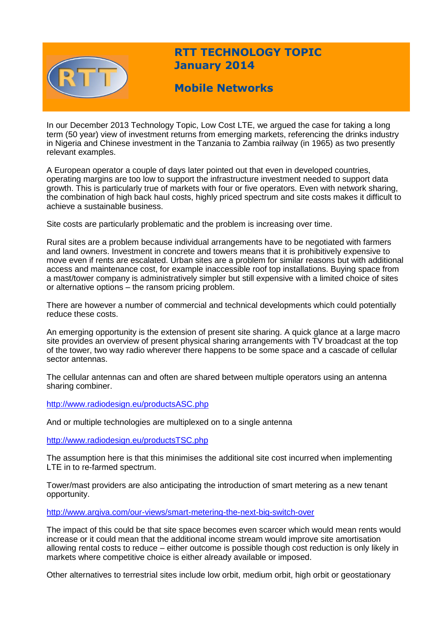

# **RTT TECHNOLOGY TOPIC January 2014**

## **Mobile Networks**

In our December 2013 Technology Topic, Low Cost LTE, we argued the case for taking a long term (50 year) view of investment returns from emerging markets, referencing the drinks industry in Nigeria and Chinese investment in the Tanzania to Zambia railway (in 1965) as two presently relevant examples.

A European operator a couple of days later pointed out that even in developed countries, operating margins are too low to support the infrastructure investment needed to support data growth. This is particularly true of markets with four or five operators. Even with network sharing, the combination of high back haul costs, highly priced spectrum and site costs makes it difficult to achieve a sustainable business.

Site costs are particularly problematic and the problem is increasing over time.

Rural sites are a problem because individual arrangements have to be negotiated with farmers and land owners. Investment in concrete and towers means that it is prohibitively expensive to move even if rents are escalated. Urban sites are a problem for similar reasons but with additional access and maintenance cost, for example inaccessible roof top installations. Buying space from a mast/tower company is administratively simpler but still expensive with a limited choice of sites or alternative options – the ransom pricing problem.

There are however a number of commercial and technical developments which could potentially reduce these costs.

An emerging opportunity is the extension of present site sharing. A quick glance at a large macro site provides an overview of present physical sharing arrangements with TV broadcast at the top of the tower, two way radio wherever there happens to be some space and a cascade of cellular sector antennas.

The cellular antennas can and often are shared between multiple operators using an antenna sharing combiner.

<http://www.radiodesign.eu/productsASC.php>

And or multiple technologies are multiplexed on to a single antenna

<http://www.radiodesign.eu/productsTSC.php>

The assumption here is that this minimises the additional site cost incurred when implementing LTE in to re-farmed spectrum.

Tower/mast providers are also anticipating the introduction of smart metering as a new tenant opportunity.

<http://www.arqiva.com/our-views/smart-metering-the-next-big-switch-over>

The impact of this could be that site space becomes even scarcer which would mean rents would increase or it could mean that the additional income stream would improve site amortisation allowing rental costs to reduce – either outcome is possible though cost reduction is only likely in markets where competitive choice is either already available or imposed.

Other alternatives to terrestrial sites include low orbit, medium orbit, high orbit or geostationary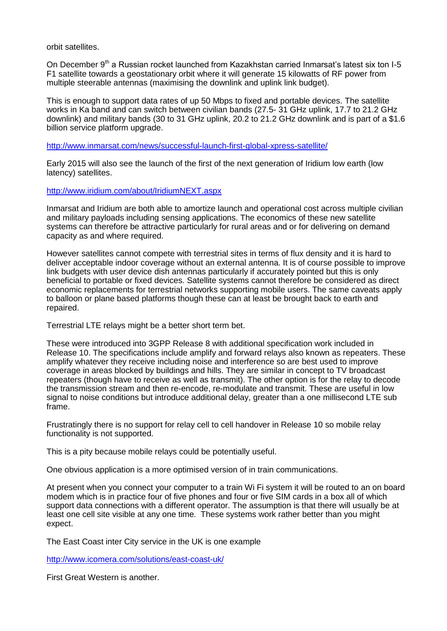orbit satellites.

On December 9<sup>th</sup> a Russian rocket launched from Kazakhstan carried Inmarsat's latest six ton I-5 F1 satellite towards a geostationary orbit where it will generate 15 kilowatts of RF power from multiple steerable antennas (maximising the downlink and uplink link budget).

This is enough to support data rates of up 50 Mbps to fixed and portable devices. The satellite works in Ka band and can switch between civilian bands (27.5- 31 GHz uplink, 17.7 to 21.2 GHz downlink) and military bands (30 to 31 GHz uplink, 20.2 to 21.2 GHz downlink and is part of a \$1.6 billion service platform upgrade.

<http://www.inmarsat.com/news/successful-launch-first-global-xpress-satellite/>

Early 2015 will also see the launch of the first of the next generation of Iridium low earth (low latency) satellites.

<http://www.iridium.com/about/IridiumNEXT.aspx>

Inmarsat and Iridium are both able to amortize launch and operational cost across multiple civilian and military payloads including sensing applications. The economics of these new satellite systems can therefore be attractive particularly for rural areas and or for delivering on demand capacity as and where required.

However satellites cannot compete with terrestrial sites in terms of flux density and it is hard to deliver acceptable indoor coverage without an external antenna. It is of course possible to improve link budgets with user device dish antennas particularly if accurately pointed but this is only beneficial to portable or fixed devices. Satellite systems cannot therefore be considered as direct economic replacements for terrestrial networks supporting mobile users. The same caveats apply to balloon or plane based platforms though these can at least be brought back to earth and repaired.

Terrestrial LTE relays might be a better short term bet.

These were introduced into 3GPP Release 8 with additional specification work included in Release 10. The specifications include amplify and forward relays also known as repeaters. These amplify whatever they receive including noise and interference so are best used to improve coverage in areas blocked by buildings and hills. They are similar in concept to TV broadcast repeaters (though have to receive as well as transmit). The other option is for the relay to decode the transmission stream and then re-encode, re-modulate and transmit. These are useful in low signal to noise conditions but introduce additional delay, greater than a one millisecond LTE sub frame.

Frustratingly there is no support for relay cell to cell handover in Release 10 so mobile relay functionality is not supported.

This is a pity because mobile relays could be potentially useful.

One obvious application is a more optimised version of in train communications.

At present when you connect your computer to a train Wi Fi system it will be routed to an on board modem which is in practice four of five phones and four or five SIM cards in a box all of which support data connections with a different operator. The assumption is that there will usually be at least one cell site visible at any one time. These systems work rather better than you might expect.

The East Coast inter City service in the UK is one example

<http://www.icomera.com/solutions/east-coast-uk/>

First Great Western is another.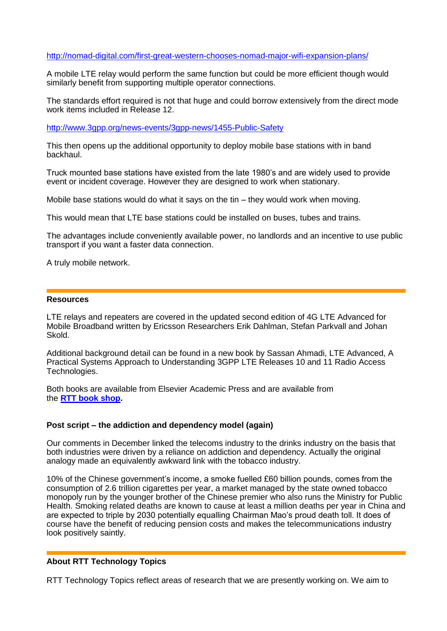## <http://nomad-digital.com/first-great-western-chooses-nomad-major-wifi-expansion-plans/>

A mobile LTE relay would perform the same function but could be more efficient though would similarly benefit from supporting multiple operator connections.

The standards effort required is not that huge and could borrow extensively from the direct mode work items included in Release 12.

<http://www.3gpp.org/news-events/3gpp-news/1455-Public-Safety>

This then opens up the additional opportunity to deploy mobile base stations with in band backhaul.

Truck mounted base stations have existed from the late 1980's and are widely used to provide event or incident coverage. However they are designed to work when stationary.

Mobile base stations would do what it says on the tin – they would work when moving.

This would mean that LTE base stations could be installed on buses, tubes and trains.

The advantages include conveniently available power, no landlords and an incentive to use public transport if you want a faster data connection.

A truly mobile network.

#### **Resources**

LTE relays and repeaters are covered in the updated second edition of 4G LTE Advanced for Mobile Broadband written by Ericsson Researchers Erik Dahlman, Stefan Parkvall and Johan Skold.

Additional background detail can be found in a new book by Sassan Ahmadi, LTE Advanced, A Practical Systems Approach to Understanding 3GPP LTE Releases 10 and 11 Radio Access Technologies.

Both books are available from Elsevier Academic Press and are available from the **[RTT book shop.](http://www.rttonline.com/bookshop.html)**

### **Post script – the addiction and dependency model (again)**

Our comments in December linked the telecoms industry to the drinks industry on the basis that both industries were driven by a reliance on addiction and dependency. Actually the original analogy made an equivalently awkward link with the tobacco industry.

10% of the Chinese government's income, a smoke fuelled £60 billion pounds, comes from the consumption of 2.6 trillion cigarettes per year, a market managed by the state owned tobacco monopoly run by the younger brother of the Chinese premier who also runs the Ministry for Public Health. Smoking related deaths are known to cause at least a million deaths per year in China and are expected to triple by 2030 potentially equalling Chairman Mao's proud death toll. It does of course have the benefit of reducing pension costs and makes the telecommunications industry look positively saintly.

## **About RTT Technology Topics**

RTT Technology Topics reflect areas of research that we are presently working on. We aim to